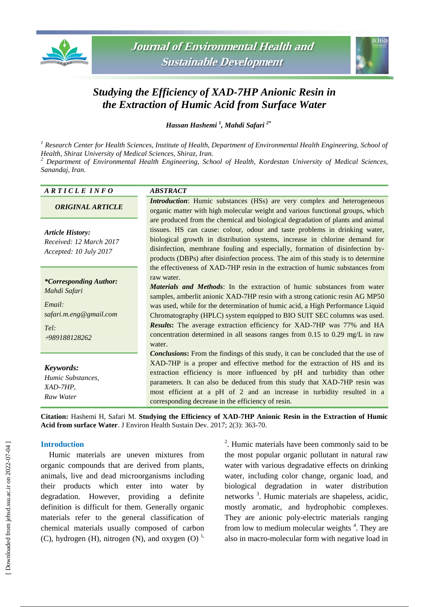



# *Studying the Efficiency of XAD-7HP Anionic Resin in the Extraction of Humic Acid from Surface Water*

*Hassan Hashemi <sup>1</sup> , Mahdi Safari 2\**

*<sup>1</sup> Research Center for Health Sciences, Institute of Health, Department of Environmental Health Engineering, School of Health, Shiraz University of Medical Sciences, Shiraz, Iran.* 

*<sup>2</sup> Department of Environmental Health Engineering, School of Health, Kordestan University of Medical Sciences, Sanandaj, Iran.* 

| ARTICLE INFO                                                                                               | <b>ABSTRACT</b>                                                                                                                                                                                                                                                                                                                                                                                                                                                                                                                                                                                          |
|------------------------------------------------------------------------------------------------------------|----------------------------------------------------------------------------------------------------------------------------------------------------------------------------------------------------------------------------------------------------------------------------------------------------------------------------------------------------------------------------------------------------------------------------------------------------------------------------------------------------------------------------------------------------------------------------------------------------------|
| <b>ORIGINAL ARTICLE</b>                                                                                    | <i>Introduction</i> : Humic substances (HSs) are very complex and heterogeneous<br>organic matter with high molecular weight and various functional groups, which                                                                                                                                                                                                                                                                                                                                                                                                                                        |
| <b>Article History:</b><br>Received: 12 March 2017<br>Accepted: 10 July 2017                               | are produced from the chemical and biological degradation of plants and animal<br>tissues. HS can cause: colour, odour and taste problems in drinking water,<br>biological growth in distribution systems, increase in chlorine demand for<br>disinfection, membrane fouling and especially, formation of disinfection by-<br>products (DBPs) after disinfection process. The aim of this study is to determine                                                                                                                                                                                          |
| <i>*Corresponding Author:</i><br>Mahdi Safari<br>Email:<br>safari.m.eng@gmail.com<br>Tel:<br>+989188128262 | the effectiveness of XAD-7HP resin in the extraction of humic substances from<br>raw water.<br><b>Materials and Methods:</b> In the extraction of humic substances from water<br>samples, amberlit anionic XAD-7HP resin with a strong cationic resin AG MP50<br>was used, while for the determination of humic acid, a High Performance Liquid<br>Chromatography (HPLC) system equipped to BIO SUIT SEC columns was used.<br><b>Results:</b> The average extraction efficiency for XAD-7HP was 77% and HA<br>concentration determined in all seasons ranges from $0.15$ to $0.29$ mg/L in raw<br>water. |
| Keywords:<br>Humic Substances,<br>XAD-7HP,<br>Raw Water                                                    | <b>Conclusions:</b> From the findings of this study, it can be concluded that the use of<br>XAD-7HP is a proper and effective method for the extraction of HS and its<br>extraction efficiency is more influenced by pH and turbidity than other<br>parameters. It can also be deduced from this study that XAD-7HP resin was<br>most efficient at a pH of 2 and an increase in turbidity resulted in a<br>corresponding decrease in the efficiency of resin.                                                                                                                                            |

**Citation:** Hashemi H, Safari M. **Studying the Efficiency of XAD-7HP Anionic Resin in the Extraction of Humic Acid from surface Water**. J Environ Health Sustain Dev. 2017; 2(3): 363-70.

### **Introduction**

Humic materials are uneven mixtures from organic compounds that are derived from plants, animals, live and dead microorganisms including their products which enter into water by degradation. However, providing a definite definition is difficult for them. Generally organic materials refer to the general classification of chemical materials usually composed of carbon (C), hydrogen (H), nitrogen (N), and oxygen (O)<sup>1,</sup>

<sup>2</sup>. Humic materials have been commonly said to be the most popular organic pollutant in natural raw water with various degradative effects on drinking water, including color change, organic load, and biological degradation in water distribution networks<sup>3</sup>. Humic materials are shapeless, acidic, mostly aromatic, and hydrophobic complexes. They are anionic poly-electric materials ranging from low to medium molecular weights<sup>4</sup>. They are also in macro-molecular form with negative load in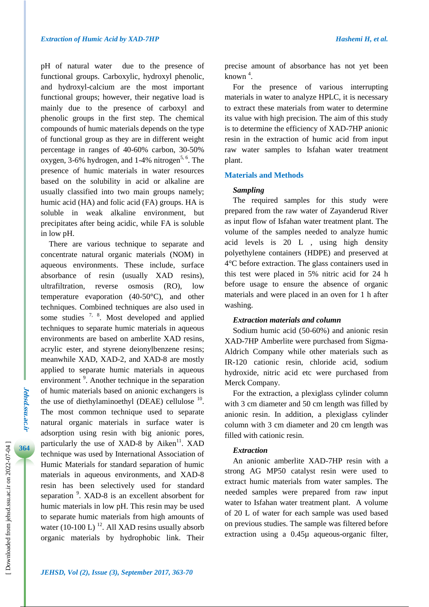pH of natural water due to the presence of functional groups. Carboxylic, hydroxyl phenolic, and hydroxyl-calcium are the most important functional groups; however, their negative load is mainly due to the presence of carboxyl and phenolic groups in the first step. The chemical compounds of humic materials depends on the type of functional group as they are in different weight percentage in ranges of 40-60% carbon, 30-50% oxygen, 3-6% hydrogen, and  $1-4%$  nitrogen<sup>5, 6</sup>. The presence of humic materials in water resources based on the solubility in acid or alkaline are usually classified into two main groups namely; humic acid (HA) and folic acid (FA) groups. HA is soluble in weak alkaline environment, but precipitates after being acidic, while FA is soluble in low pH.

There are various technique to separate and concentrate natural organic materials (NOM) in aqueous environments. These include, surface absorbance of resin (usually XAD resins), ultrafiltration, reverse osmosis (RO), low temperature evaporation (40-50°C), and other techniques. Combined techniques are also used in some studies  $7, 8$ . Most developed and applied techniques to separate humic materials in aqueous environments are based on amberlite XAD resins, acrylic ester, and styrene deionylbenzene resins; meanwhile XAD, XAD-2, and XAD-8 are mostly applied to separate humic materials in aqueous environment<sup>9</sup>. Another technique in the separation of humic materials based on anionic exchangers is the use of diethylaminoethyl (DEAE) cellulose  $10$ . The most common technique used to separate natural organic materials in surface water is adsorption using resin with big anionic pores, particularly the use of XAD-8 by Aiken $11$ . XAD technique was used by International Association of Humic Materials for standard separation of humic materials in aqueous environments, and XAD-8 resin has been selectively used for standard separation  $\frac{9}{2}$ . XAD-8 is an excellent absorbent for humic materials in low pH. This resin may be used to separate humic materials from high amounts of water  $(10-100 \text{ L})$ <sup>12</sup>. All XAD resins usually absorb organic materials by hydrophobic link. Their

precise amount of absorbance has not yet been known <sup>4</sup> .

For the presence of various interrupting materials in water to analyze HPLC, it is necessary to extract these materials from water to determine its value with high precision. The aim of this study is to determine the efficiency of XAD-7HP anionic resin in the extraction of humic acid from input raw water samples to Isfahan water treatment plant.

#### **Materials and Methods**

#### *Sampling*

The required samples for this study were prepared from the raw water of Zayanderud River as input flow of Isfahan water treatment plant. The volume of the samples needed to analyze humic acid levels is 20 L , using high density polyethylene containers (HDPE) and preserved at 4°C before extraction. The glass containers used in this test were placed in 5% nitric acid for 24 h before usage to ensure the absence of organic materials and were placed in an oven for 1 h after washing.

### *Extraction materials and column*

Sodium humic acid (50-60%) and anionic resin XAD-7HP Amberlite were purchased from Sigma-Aldrich Company while other materials such as IR-120 cationic resin, chloride acid, sodium hydroxide, nitric acid etc were purchased from Merck Company.

For the extraction, a plexiglass cylinder column with 3 cm diameter and 50 cm length was filled by anionic resin. In addition, a plexiglass cylinder column with 3 cm diameter and 20 cm length was filled with cationic resin.

### *Extraction*

An anionic amberlite XAD-7HP resin with a strong AG MP50 catalyst resin were used to extract humic materials from water samples. The needed samples were prepared from raw input water to Isfahan water treatment plant. A volume of 20 L of water for each sample was used based on previous studies. The sample was filtered before extraction using a 0.45µ aqueous-organic filter,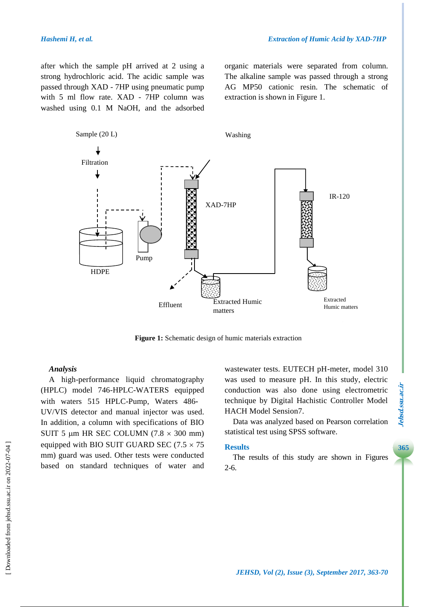after which the sample pH arrived at 2 using a strong hydrochloric acid. The acidic sample was passed through XAD - 7HP using pneumatic pump with 5 ml flow rate. XAD - 7HP column was washed using 0.1 M NaOH, and the adsorbed organic materials were separated from column. The alkaline sample was passed through a strong AG MP50 cationic resin. The schematic of extraction is shown in Figure 1.



**Figure 1:** Schematic design of humic materials extraction

#### *Analysis*

A high-performance liquid chromatography (HPLC) model 746-HPLC-WATERS equipped with waters 515 HPLC-Pump, Waters 486- UV/VIS detector and manual injector was used. In addition, a column with specifications of BIO SUIT 5  $\mu$ m HR SEC COLUMN (7.8  $\times$  300 mm) equipped with BIO SUIT GUARD SEC (7.5  $\times$  75 mm) guard was used. Other tests were conducted based on standard techniques of water and wastewater tests. EUTECH pH-meter, model 310 was used to measure pH. In this study, electric conduction was also done using electrometric technique by Digital Hachistic Controller Model HACH Model Sension7.

Data was analyzed based on Pearson correlation statistical test using SPSS software.

#### **Results**

The results of this study are shown in Figures 2-6.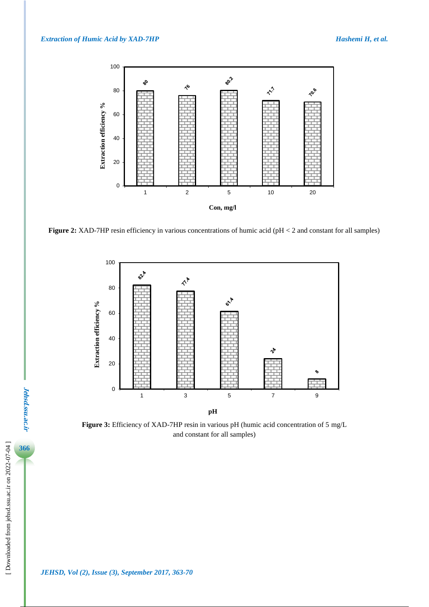

**Figure 2:** XAD-7HP resin efficiency in various concentrations of humic acid (pH < 2 and constant for all samples)



**Figure 3:** Efficiency of XAD-7HP resin in various pH (humic acid concentration of 5 mg/L and constant for all samples)

**Jehsd.ssu.ac.ir**

**Jehsd.ssu.ac.ir**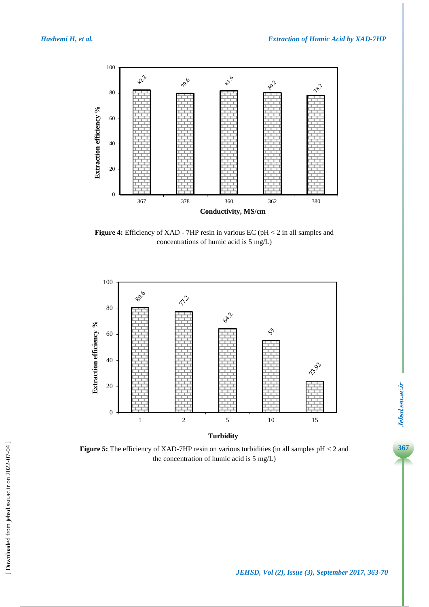[\[ Downloaded from jehsd.ssu.ac.ir on 2022](https://jehsd.ssu.ac.ir/article-1-86-en.html)-07-04 ]

[Downloaded from jehsd.ssu.ac.ir on 2022-07-04]



**Figure 4:** Efficiency of XAD - 7HP resin in various EC (pH < 2 in all samples and concentrations of humic acid is 5 mg/L)



Figure 5: The efficiency of XAD-7HP resin on various turbidities (in all samples  $pH < 2$  and the concentration of humic acid is 5 mg/L)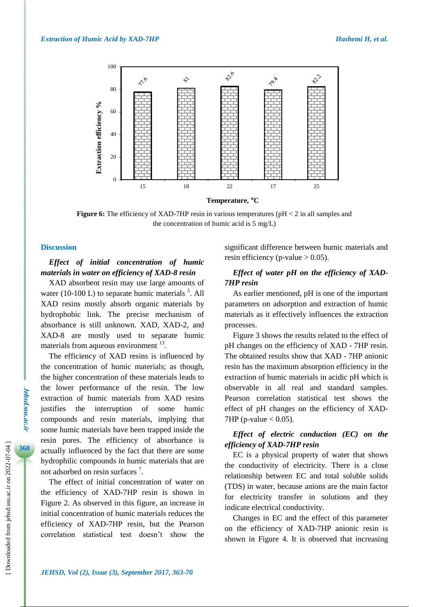

**Temperature, °C**

**Figure 6:** The efficiency of XAD-7HP resin in various temperatures (pH < 2 in all samples and the concentration of humic acid is 5 mg/L)

#### **Discussion**

# *Effect of initial concentration of humic materials in water on efficiency of XAD-8 resin*

XAD absorbent resin may use large amounts of water (10-100 L) to separate humic materials  $5$ . All XAD resins mostly absorb organic materials by hydrophobic link. The precise mechanism of absorbance is still unknown. XAD, XAD-2, and XAD-8 are mostly used to separate humic materials from aqueous environment <sup>13</sup>.

The efficiency of XAD resins is influenced by the concentration of humic materials; as though, the higher concentration of these materials leads to the lower performance of the resin. The low extraction of humic materials from XAD resins justifies the interruption of some humic compounds and resin materials, implying that some humic materials have been trapped inside the resin pores. The efficiency of absorbance is actually influenced by the fact that there are some hydrophilic compounds in humic materials that are not adsorbed on resin surfaces<sup>7</sup>.

The effect of initial concentration of water on the efficiency of XAD-7HP resin is shown in Figure 2. As observed in this figure, an increase in initial concentration of humic materials reduces the efficiency of XAD-7HP resin, but the Pearson correlation statistical test doesn't show the

significant difference between humic materials and resin efficiency (p-value  $> 0.05$ ).

# *Effect of water pH on the efficiency of XAD-7HP resin*

As earlier mentioned, pH is one of the important parameters on adsorption and extraction of humic materials as it effectively influences the extraction processes.

Figure 3 shows the results related to the effect of pH changes on the efficiency of XAD - 7HP resin. The obtained results show that XAD - 7HP anionic resin has the maximum absorption efficiency in the extraction of humic materials in acidic pH which is observable in all real and standard samples. Pearson correlation statistical test shows the effect of pH changes on the efficiency of XAD-7HP (p-value  $< 0.05$ ).

# *Effect of electric conduction (EC) on the efficiency of XAD-7HP resin*

EC is a physical property of water that shows the conductivity of electricity. There is a close relationship between EC and total soluble solids (TDS) in water, because anions are the main factor for electricity transfer in solutions and they indicate electrical conductivity.

Changes in EC and the effect of this parameter on the efficiency of XAD-7HP anionic resin is shown in Figure 4. It is observed that increasing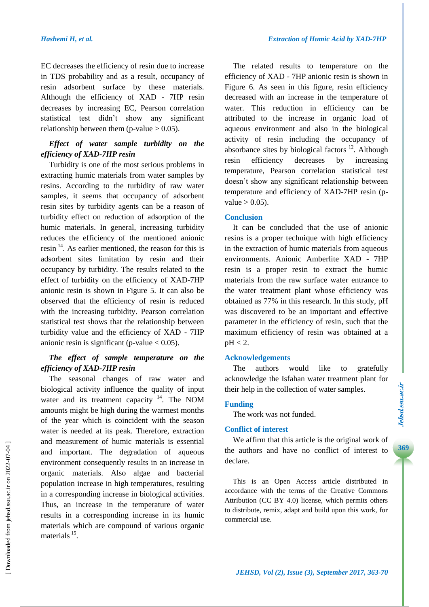EC decreases the efficiency of resin due to increase in TDS probability and as a result, occupancy of resin adsorbent surface by these materials. Although the efficiency of XAD - 7HP resin decreases by increasing EC, Pearson correlation statistical test didn't show any significant relationship between them (p-value  $> 0.05$ ).

# *Effect of water sample turbidity on the efficiency of XAD-7HP resin*

Turbidity is one of the most serious problems in extracting humic materials from water samples by resins. According to the turbidity of raw water samples, it seems that occupancy of adsorbent resin sites by turbidity agents can be a reason of turbidity effect on reduction of adsorption of the humic materials. In general, increasing turbidity reduces the efficiency of the mentioned anionic resin <sup>14</sup>. As earlier mentioned, the reason for this is adsorbent sites limitation by resin and their occupancy by turbidity. The results related to the effect of turbidity on the efficiency of XAD-7HP anionic resin is shown in Figure 5. It can also be observed that the efficiency of resin is reduced with the increasing turbidity. Pearson correlation statistical test shows that the relationship between turbidity value and the efficiency of XAD - 7HP anionic resin is significant (p-value  $< 0.05$ ).

# *The effect of sample temperature on the efficiency of XAD-7HP resin*

The seasonal changes of raw water and biological activity influence the quality of input water and its treatment capacity  $14$ . The NOM amounts might be high during the warmest months of the year which is coincident with the season water is needed at its peak. Therefore, extraction and measurement of humic materials is essential and important. The degradation of aqueous environment consequently results in an increase in organic materials. Also algae and bacterial population increase in high temperatures, resulting in a corresponding increase in biological activities. Thus, an increase in the temperature of water results in a corresponding increase in its humic materials which are compound of various organic materials<sup>15</sup>.

The related results to temperature on the efficiency of XAD - 7HP anionic resin is shown in Figure 6. As seen in this figure, resin efficiency decreased with an increase in the temperature of water. This reduction in efficiency can be attributed to the increase in organic load of aqueous environment and also in the biological activity of resin including the occupancy of absorbance sites by biological factors  $12$ . Although resin efficiency decreases by increasing temperature, Pearson correlation statistical test doesn't show any significant relationship between temperature and efficiency of XAD-7HP resin (pvalue  $> 0.05$ ).

## **Conclusion**

It can be concluded that the use of anionic resins is a proper technique with high efficiency in the extraction of humic materials from aqueous environments. Anionic Amberlite XAD - 7HP resin is a proper resin to extract the humic materials from the raw surface water entrance to the water treatment plant whose efficiency was obtained as 77% in this research. In this study, pH was discovered to be an important and effective parameter in the efficiency of resin, such that the maximum efficiency of resin was obtained at a  $pH < 2$ .

## **Acknowledgements**

The authors would like to gratefully acknowledge the Isfahan water treatment plant for their help in the collection of water samples.

## **Funding**

The work was not funded.

# **Conflict of interest**

We affirm that this article is the original work of the authors and have no conflict of interest to declare.

This is an Open Access article distributed in accordance with the terms of the Creative Commons Attribution (CC BY 4.0) license, which permits others to distribute, remix, adapt and build upon this work, for commercial use.